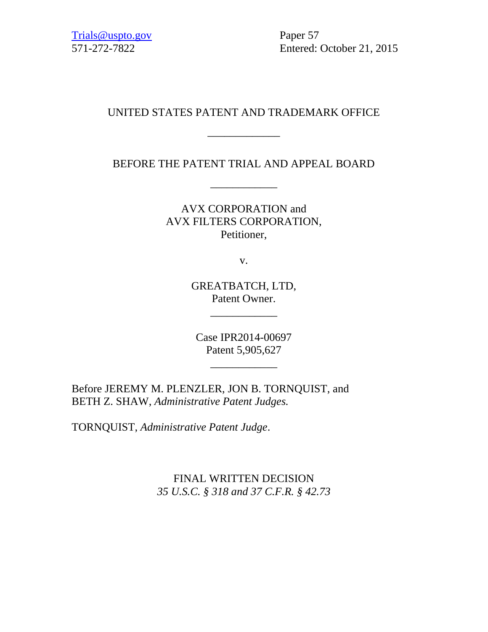571-272-7822 Entered: October 21, 2015

## UNITED STATES PATENT AND TRADEMARK OFFICE

\_\_\_\_\_\_\_\_\_\_\_\_\_

BEFORE THE PATENT TRIAL AND APPEAL BOARD

\_\_\_\_\_\_\_\_\_\_\_\_

AVX CORPORATION and AVX FILTERS CORPORATION, Petitioner,

v.

GREATBATCH, LTD, Patent Owner.

\_\_\_\_\_\_\_\_\_\_\_\_

Case IPR2014-00697 Patent 5,905,627

\_\_\_\_\_\_\_\_\_\_\_\_

Before JEREMY M. PLENZLER, JON B. TORNQUIST, and BETH Z. SHAW, *Administrative Patent Judges.*

TORNQUIST, *Administrative Patent Judge*.

FINAL WRITTEN DECISION *35 U.S.C. § 318 and 37 C.F.R. § 42.73*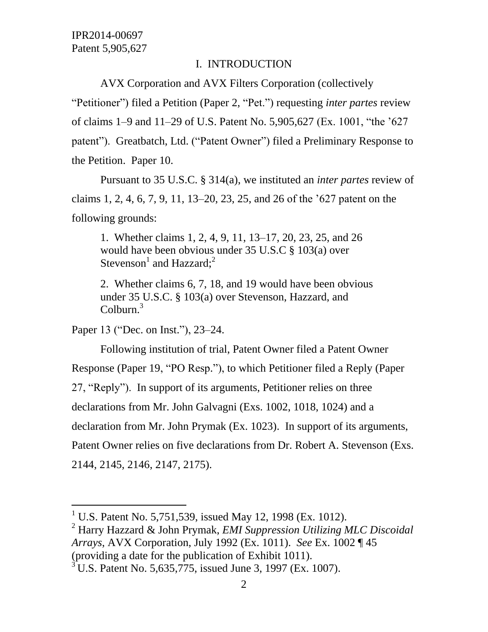## I. INTRODUCTION

AVX Corporation and AVX Filters Corporation (collectively

"Petitioner") filed a Petition (Paper 2, "Pet.") requesting *inter partes* review of claims 1–9 and 11–29 of U.S. Patent No. 5,905,627 (Ex. 1001, "the '627 patent"). Greatbatch, Ltd. ("Patent Owner") filed a Preliminary Response to the Petition. Paper 10.

Pursuant to 35 U.S.C. § 314(a), we instituted an *inter partes* review of claims 1, 2, 4, 6, 7, 9, 11, 13–20, 23, 25, and 26 of the '627 patent on the following grounds:

1. Whether claims 1, 2, 4, 9, 11, 13–17, 20, 23, 25, and 26 would have been obvious under 35 U.S.C § 103(a) over Stevenson<sup>1</sup> and Hazzard;<sup>2</sup>

2. Whether claims 6, 7, 18, and 19 would have been obvious under 35 U.S.C. § 103(a) over Stevenson, Hazzard, and  $Colburn.<sup>3</sup>$ 

Paper 13 ("Dec. on Inst."), 23–24.

l

Following institution of trial, Patent Owner filed a Patent Owner Response (Paper 19, "PO Resp."), to which Petitioner filed a Reply (Paper 27, "Reply"). In support of its arguments, Petitioner relies on three declarations from Mr. John Galvagni (Exs. 1002, 1018, 1024) and a declaration from Mr. John Prymak (Ex. 1023). In support of its arguments, Patent Owner relies on five declarations from Dr. Robert A. Stevenson (Exs. 2144, 2145, 2146, 2147, 2175).

<sup>2</sup> Harry Hazzard & John Prymak, *EMI Suppression Utilizing MLC Discoidal Arrays*, AVX Corporation, July 1992 (Ex. 1011). *See* Ex. 1002 ¶ 45 (providing a date for the publication of Exhibit 1011).

<sup>&</sup>lt;sup>1</sup> U.S. Patent No. 5,751,539, issued May 12, 1998 (Ex. 1012).

 $3^3$ U.S. Patent No. 5,635,775, issued June 3, 1997 (Ex. 1007).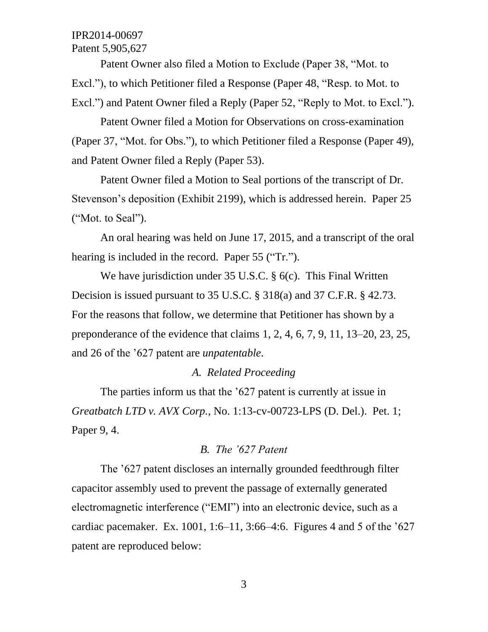Patent Owner also filed a Motion to Exclude (Paper 38, "Mot. to Excl."), to which Petitioner filed a Response (Paper 48, "Resp. to Mot. to Excl.") and Patent Owner filed a Reply (Paper 52, "Reply to Mot. to Excl.").

Patent Owner filed a Motion for Observations on cross-examination (Paper 37, "Mot. for Obs."), to which Petitioner filed a Response (Paper 49), and Patent Owner filed a Reply (Paper 53).

Patent Owner filed a Motion to Seal portions of the transcript of Dr. Stevenson's deposition (Exhibit 2199), which is addressed herein. Paper 25 ("Mot. to Seal").

An oral hearing was held on June 17, 2015, and a transcript of the oral hearing is included in the record. Paper 55 ("Tr.").

We have jurisdiction under 35 U.S.C. § 6(c). This Final Written Decision is issued pursuant to 35 U.S.C. § 318(a) and 37 C.F.R. § 42.73. For the reasons that follow, we determine that Petitioner has shown by a preponderance of the evidence that claims 1, 2, 4, 6, 7, 9, 11, 13–20, 23, 25, and 26 of the '627 patent are *unpatentable*.

#### *A. Related Proceeding*

The parties inform us that the '627 patent is currently at issue in *Greatbatch LTD v. AVX Corp.*, No. 1:13-cv-00723-LPS (D. Del.). Pet. 1; Paper 9, 4.

#### *B. The '627 Patent*

The '627 patent discloses an internally grounded feedthrough filter capacitor assembly used to prevent the passage of externally generated electromagnetic interference ("EMI") into an electronic device, such as a cardiac pacemaker. Ex. 1001, 1:6–11, 3:66–4:6. Figures 4 and 5 of the '627 patent are reproduced below: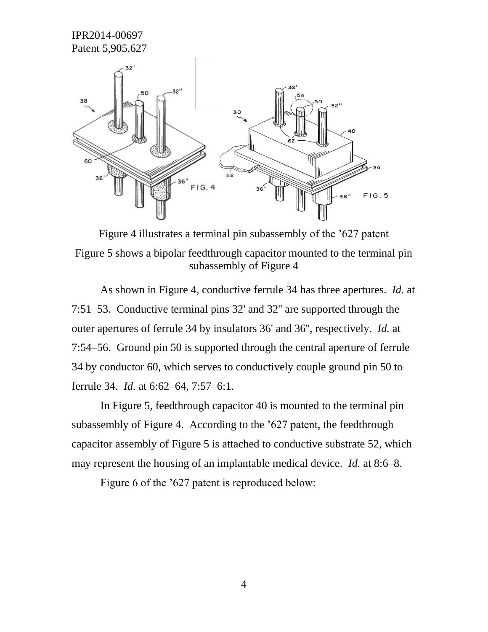

Figure 4 illustrates a terminal pin subassembly of the '627 patent Figure 5 shows a bipolar feedthrough capacitor mounted to the terminal pin subassembly of Figure 4

As shown in Figure 4, conductive ferrule 34 has three apertures. *Id.* at 7:51–53. Conductive terminal pins 32' and 32'' are supported through the outer apertures of ferrule 34 by insulators 36' and 36'', respectively. *Id.* at 7:54–56. Ground pin 50 is supported through the central aperture of ferrule 34 by conductor 60, which serves to conductively couple ground pin 50 to ferrule 34. *Id.* at 6:62–64, 7:57–6:1.

In Figure 5, feedthrough capacitor 40 is mounted to the terminal pin subassembly of Figure 4. According to the '627 patent, the feedthrough capacitor assembly of Figure 5 is attached to conductive substrate 52, which may represent the housing of an implantable medical device. *Id.* at 8:6–8.

Figure 6 of the '627 patent is reproduced below: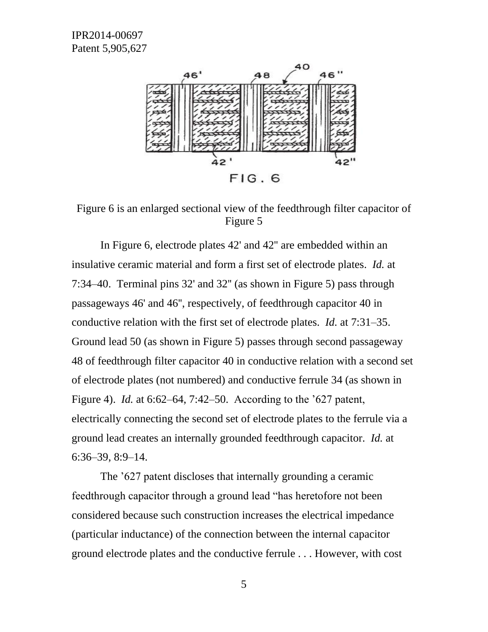

Figure 6 is an enlarged sectional view of the feedthrough filter capacitor of Figure 5

In Figure 6, electrode plates 42' and 42'' are embedded within an insulative ceramic material and form a first set of electrode plates. *Id.* at 7:34–40. Terminal pins 32' and 32'' (as shown in Figure 5) pass through passageways 46' and 46'', respectively, of feedthrough capacitor 40 in conductive relation with the first set of electrode plates. *Id.* at 7:31–35. Ground lead 50 (as shown in Figure 5) passes through second passageway 48 of feedthrough filter capacitor 40 in conductive relation with a second set of electrode plates (not numbered) and conductive ferrule 34 (as shown in Figure 4). *Id.* at 6:62–64, 7:42–50. According to the '627 patent, electrically connecting the second set of electrode plates to the ferrule via a ground lead creates an internally grounded feedthrough capacitor. *Id.* at 6:36–39, 8:9–14.

The '627 patent discloses that internally grounding a ceramic feedthrough capacitor through a ground lead "has heretofore not been considered because such construction increases the electrical impedance (particular inductance) of the connection between the internal capacitor ground electrode plates and the conductive ferrule . . . However, with cost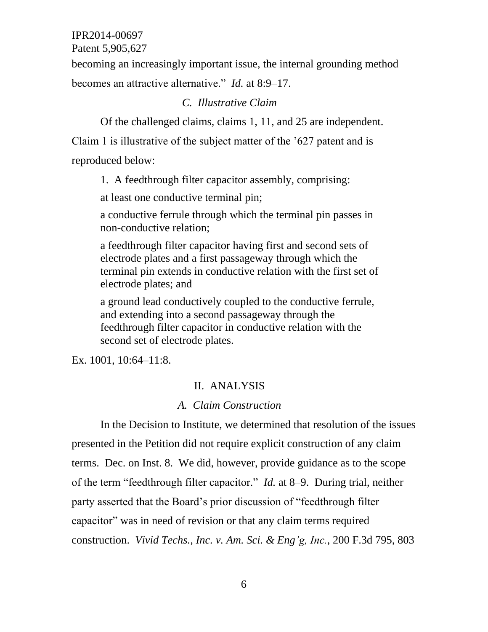Patent 5,905,627

becoming an increasingly important issue, the internal grounding method becomes an attractive alternative." *Id.* at 8:9–17.

## *C. Illustrative Claim*

Of the challenged claims, claims 1, 11, and 25 are independent.

Claim 1 is illustrative of the subject matter of the '627 patent and is reproduced below:

1. A feedthrough filter capacitor assembly, comprising:

at least one conductive terminal pin;

a conductive ferrule through which the terminal pin passes in non-conductive relation;

a feedthrough filter capacitor having first and second sets of electrode plates and a first passageway through which the terminal pin extends in conductive relation with the first set of electrode plates; and

a ground lead conductively coupled to the conductive ferrule, and extending into a second passageway through the feedthrough filter capacitor in conductive relation with the second set of electrode plates.

Ex. 1001, 10:64–11:8.

## II. ANALYSIS

## *A. Claim Construction*

In the Decision to Institute, we determined that resolution of the issues presented in the Petition did not require explicit construction of any claim terms. Dec. on Inst. 8. We did, however, provide guidance as to the scope of the term "feedthrough filter capacitor." *Id.* at 8–9. During trial, neither party asserted that the Board's prior discussion of "feedthrough filter capacitor" was in need of revision or that any claim terms required construction. *Vivid Techs., Inc. v. Am. Sci. & Eng'g, Inc.*, 200 F.3d 795, 803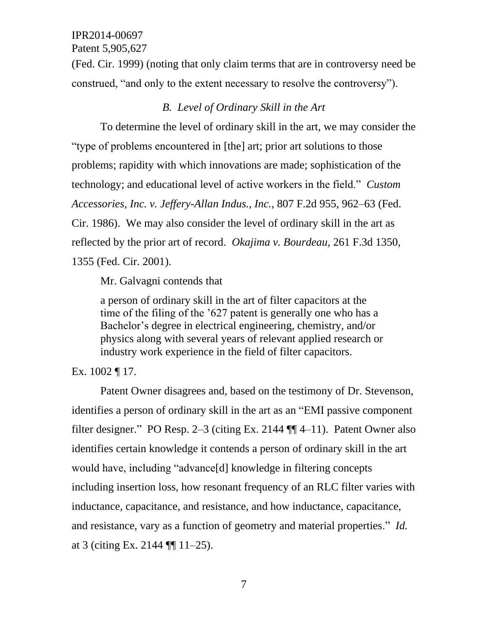Patent 5,905,627

(Fed. Cir. 1999) (noting that only claim terms that are in controversy need be construed, "and only to the extent necessary to resolve the controversy").

## *B. Level of Ordinary Skill in the Art*

To determine the level of ordinary skill in the art, we may consider the "type of problems encountered in [the] art; prior art solutions to those problems; rapidity with which innovations are made; sophistication of the technology; and educational level of active workers in the field." *Custom Accessories, Inc. v. Jeffery-Allan Indus., Inc.*, 807 F.2d 955, 962–63 (Fed. Cir. 1986). We may also consider the level of ordinary skill in the art as reflected by the prior art of record. *Okajima v. Bourdeau*, 261 F.3d 1350, 1355 (Fed. Cir. 2001).

Mr. Galvagni contends that

a person of ordinary skill in the art of filter capacitors at the time of the filing of the '627 patent is generally one who has a Bachelor's degree in electrical engineering, chemistry, and/or physics along with several years of relevant applied research or industry work experience in the field of filter capacitors.

#### Ex. 1002 ¶ 17.

Patent Owner disagrees and, based on the testimony of Dr. Stevenson, identifies a person of ordinary skill in the art as an "EMI passive component filter designer." PO Resp. 2–3 (citing Ex. 2144 ¶¶ 4–11). Patent Owner also identifies certain knowledge it contends a person of ordinary skill in the art would have, including "advance[d] knowledge in filtering concepts including insertion loss, how resonant frequency of an RLC filter varies with inductance, capacitance, and resistance, and how inductance, capacitance, and resistance, vary as a function of geometry and material properties." *Id.*  at 3 (citing Ex. 2144 ¶¶ 11–25).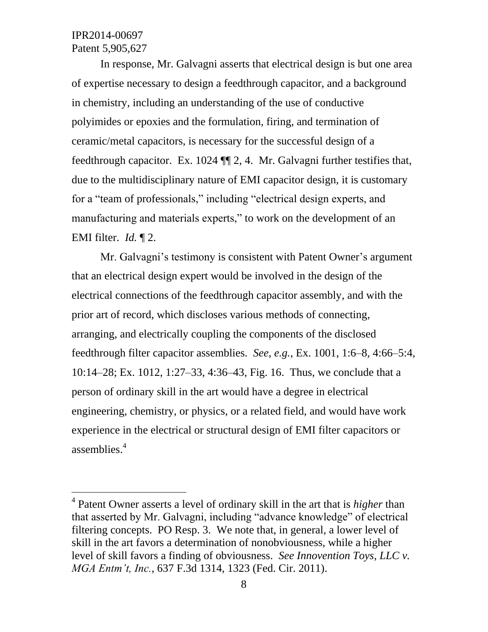$\overline{a}$ 

In response, Mr. Galvagni asserts that electrical design is but one area of expertise necessary to design a feedthrough capacitor, and a background in chemistry, including an understanding of the use of conductive polyimides or epoxies and the formulation, firing, and termination of ceramic/metal capacitors, is necessary for the successful design of a feedthrough capacitor. Ex. 1024 ¶¶ 2, 4. Mr. Galvagni further testifies that, due to the multidisciplinary nature of EMI capacitor design, it is customary for a "team of professionals," including "electrical design experts, and manufacturing and materials experts," to work on the development of an EMI filter. *Id.* ¶ 2.

Mr. Galvagni's testimony is consistent with Patent Owner's argument that an electrical design expert would be involved in the design of the electrical connections of the feedthrough capacitor assembly, and with the prior art of record, which discloses various methods of connecting, arranging, and electrically coupling the components of the disclosed feedthrough filter capacitor assemblies. *See, e.g.*, Ex. 1001, 1:6–8, 4:66–5:4, 10:14–28; Ex. 1012, 1:27–33, 4:36–43, Fig. 16. Thus, we conclude that a person of ordinary skill in the art would have a degree in electrical engineering, chemistry, or physics, or a related field, and would have work experience in the electrical or structural design of EMI filter capacitors or assemblies. 4

<sup>4</sup> Patent Owner asserts a level of ordinary skill in the art that is *higher* than that asserted by Mr. Galvagni, including "advance knowledge" of electrical filtering concepts. PO Resp. 3. We note that, in general, a lower level of skill in the art favors a determination of nonobviousness, while a higher level of skill favors a finding of obviousness. *See Innovention Toys, LLC v. MGA Entm't, Inc.*, 637 F.3d 1314, 1323 (Fed. Cir. 2011).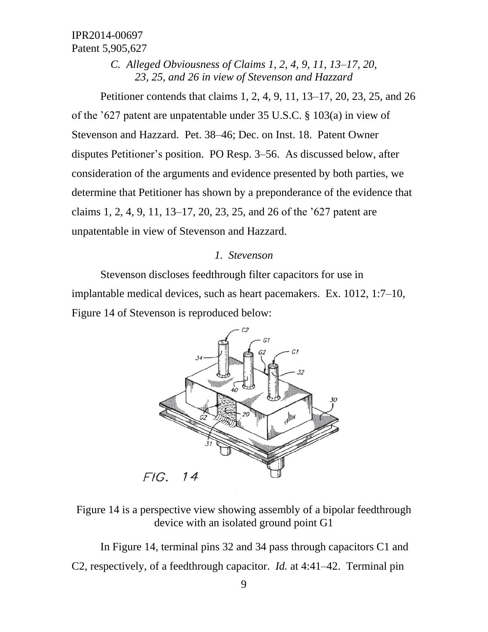> *C. Alleged Obviousness of Claims 1, 2, 4, 9, 11, 13–17, 20, 23, 25, and 26 in view of Stevenson and Hazzard*

Petitioner contends that claims 1, 2, 4, 9, 11, 13–17, 20, 23, 25, and 26 of the '627 patent are unpatentable under 35 U.S.C. § 103(a) in view of Stevenson and Hazzard. Pet. 38–46; Dec. on Inst. 18. Patent Owner disputes Petitioner's position. PO Resp. 3–56. As discussed below, after consideration of the arguments and evidence presented by both parties, we determine that Petitioner has shown by a preponderance of the evidence that claims 1, 2, 4, 9, 11, 13–17, 20, 23, 25, and 26 of the '627 patent are unpatentable in view of Stevenson and Hazzard.

#### *1. Stevenson*

Stevenson discloses feedthrough filter capacitors for use in implantable medical devices, such as heart pacemakers. Ex. 1012, 1:7–10, Figure 14 of Stevenson is reproduced below:



Figure 14 is a perspective view showing assembly of a bipolar feedthrough device with an isolated ground point G1

In Figure 14, terminal pins 32 and 34 pass through capacitors C1 and C2, respectively, of a feedthrough capacitor. *Id.* at 4:41–42. Terminal pin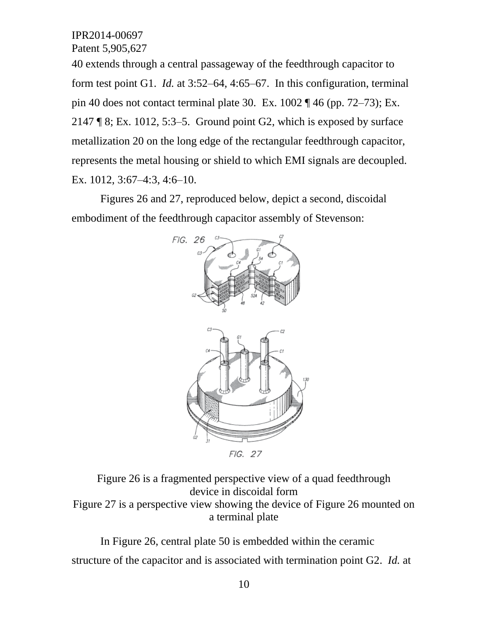40 extends through a central passageway of the feedthrough capacitor to form test point G1. *Id.* at 3:52–64, 4:65–67. In this configuration, terminal pin 40 does not contact terminal plate 30. Ex.  $1002 \text{ } q$  46 (pp. 72–73); Ex. 2147  $\sqrt{8}$ ; Ex. 1012, 5:3–5. Ground point G2, which is exposed by surface metallization 20 on the long edge of the rectangular feedthrough capacitor, represents the metal housing or shield to which EMI signals are decoupled. Ex. 1012, 3:67–4:3, 4:6–10.

Figures 26 and 27, reproduced below, depict a second, discoidal embodiment of the feedthrough capacitor assembly of Stevenson:



FIG. 27

Figure 26 is a fragmented perspective view of a quad feedthrough device in discoidal form Figure 27 is a perspective view showing the device of Figure 26 mounted on a terminal plate

In Figure 26, central plate 50 is embedded within the ceramic structure of the capacitor and is associated with termination point G2. *Id.* at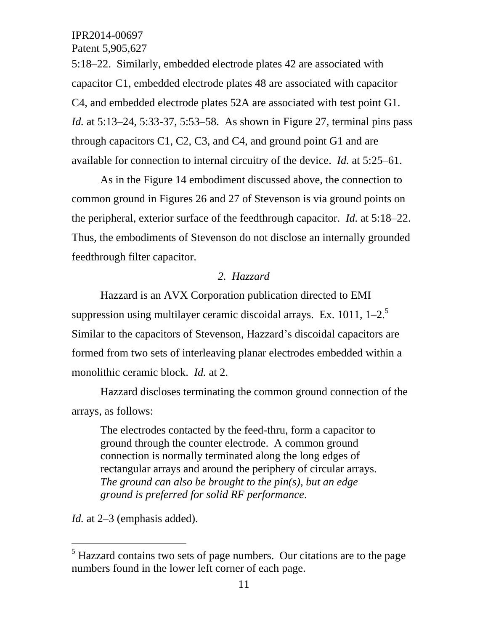5:18–22. Similarly, embedded electrode plates 42 are associated with capacitor C1, embedded electrode plates 48 are associated with capacitor C4, and embedded electrode plates 52A are associated with test point G1. *Id.* at 5:13–24, 5:33-37, 5:53–58. As shown in Figure 27, terminal pins pass through capacitors C1, C2, C3, and C4, and ground point G1 and are available for connection to internal circuitry of the device. *Id.* at 5:25–61.

As in the Figure 14 embodiment discussed above, the connection to common ground in Figures 26 and 27 of Stevenson is via ground points on the peripheral, exterior surface of the feedthrough capacitor. *Id.* at 5:18–22. Thus, the embodiments of Stevenson do not disclose an internally grounded feedthrough filter capacitor.

#### *2. Hazzard*

Hazzard is an AVX Corporation publication directed to EMI suppression using multilayer ceramic discoidal arrays. Ex. 1011,  $1-2$ <sup>5</sup> Similar to the capacitors of Stevenson, Hazzard's discoidal capacitors are formed from two sets of interleaving planar electrodes embedded within a monolithic ceramic block. *Id.* at 2.

Hazzard discloses terminating the common ground connection of the arrays, as follows:

The electrodes contacted by the feed-thru, form a capacitor to ground through the counter electrode. A common ground connection is normally terminated along the long edges of rectangular arrays and around the periphery of circular arrays. *The ground can also be brought to the pin(s), but an edge ground is preferred for solid RF performance*.

*Id.* at 2–3 (emphasis added).

 $\overline{a}$ 

 $<sup>5</sup>$  Hazzard contains two sets of page numbers. Our citations are to the page</sup> numbers found in the lower left corner of each page.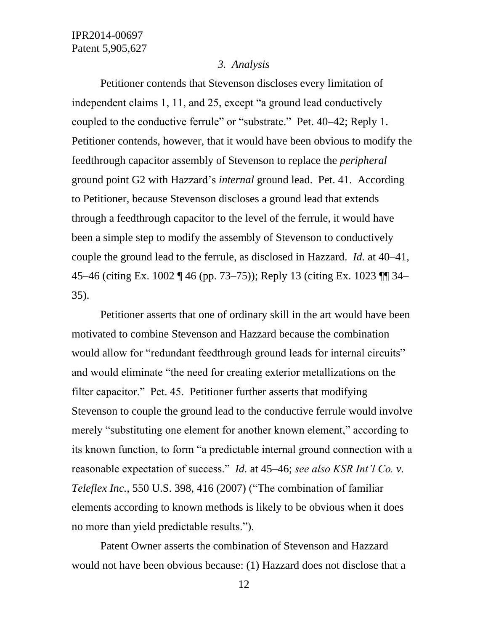#### *3. Analysis*

Petitioner contends that Stevenson discloses every limitation of independent claims 1, 11, and 25, except "a ground lead conductively coupled to the conductive ferrule" or "substrate." Pet. 40–42; Reply 1. Petitioner contends, however, that it would have been obvious to modify the feedthrough capacitor assembly of Stevenson to replace the *peripheral* ground point G2 with Hazzard's *internal* ground lead. Pet. 41. According to Petitioner, because Stevenson discloses a ground lead that extends through a feedthrough capacitor to the level of the ferrule, it would have been a simple step to modify the assembly of Stevenson to conductively couple the ground lead to the ferrule, as disclosed in Hazzard. *Id.* at 40–41, 45–46 (citing Ex. 1002 ¶ 46 (pp. 73–75)); Reply 13 (citing Ex. 1023 ¶¶ 34– 35).

Petitioner asserts that one of ordinary skill in the art would have been motivated to combine Stevenson and Hazzard because the combination would allow for "redundant feedthrough ground leads for internal circuits" and would eliminate "the need for creating exterior metallizations on the filter capacitor." Pet. 45. Petitioner further asserts that modifying Stevenson to couple the ground lead to the conductive ferrule would involve merely "substituting one element for another known element," according to its known function, to form "a predictable internal ground connection with a reasonable expectation of success." *Id.* at 45–46; *see also KSR Int'l Co. v. Teleflex Inc.*, 550 U.S. 398, 416 (2007) ("The combination of familiar elements according to known methods is likely to be obvious when it does no more than yield predictable results.").

Patent Owner asserts the combination of Stevenson and Hazzard would not have been obvious because: (1) Hazzard does not disclose that a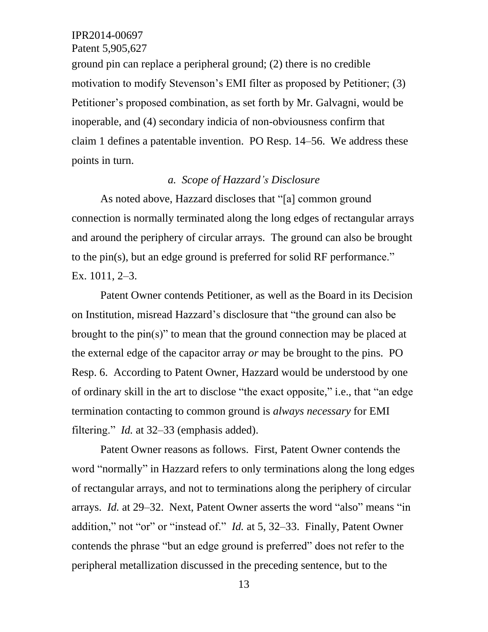ground pin can replace a peripheral ground; (2) there is no credible motivation to modify Stevenson's EMI filter as proposed by Petitioner; (3) Petitioner's proposed combination, as set forth by Mr. Galvagni, would be inoperable, and (4) secondary indicia of non-obviousness confirm that claim 1 defines a patentable invention. PO Resp. 14–56. We address these points in turn.

#### *a. Scope of Hazzard's Disclosure*

As noted above, Hazzard discloses that "[a] common ground connection is normally terminated along the long edges of rectangular arrays and around the periphery of circular arrays. The ground can also be brought to the pin(s), but an edge ground is preferred for solid RF performance." Ex. 1011, 2–3.

Patent Owner contends Petitioner, as well as the Board in its Decision on Institution, misread Hazzard's disclosure that "the ground can also be brought to the pin(s)" to mean that the ground connection may be placed at the external edge of the capacitor array *or* may be brought to the pins. PO Resp. 6. According to Patent Owner, Hazzard would be understood by one of ordinary skill in the art to disclose "the exact opposite," i.e., that "an edge termination contacting to common ground is *always necessary* for EMI filtering." *Id.* at 32–33 (emphasis added).

Patent Owner reasons as follows. First, Patent Owner contends the word "normally" in Hazzard refers to only terminations along the long edges of rectangular arrays, and not to terminations along the periphery of circular arrays. *Id.* at 29–32. Next, Patent Owner asserts the word "also" means "in addition," not "or" or "instead of." *Id.* at 5, 32–33. Finally, Patent Owner contends the phrase "but an edge ground is preferred" does not refer to the peripheral metallization discussed in the preceding sentence, but to the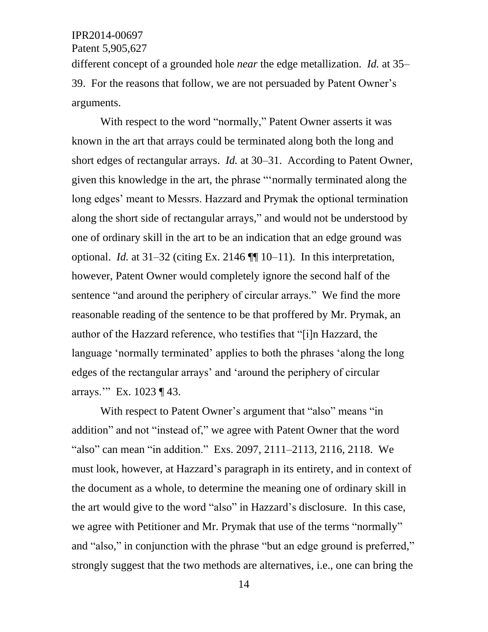different concept of a grounded hole *near* the edge metallization. *Id.* at 35– 39. For the reasons that follow, we are not persuaded by Patent Owner's arguments.

With respect to the word "normally," Patent Owner asserts it was known in the art that arrays could be terminated along both the long and short edges of rectangular arrays. *Id.* at 30–31.According to Patent Owner, given this knowledge in the art, the phrase "'normally terminated along the long edges' meant to Messrs. Hazzard and Prymak the optional termination along the short side of rectangular arrays," and would not be understood by one of ordinary skill in the art to be an indication that an edge ground was optional. *Id.* at 31–32 (citing Ex. 2146 ¶¶ 10–11). In this interpretation, however, Patent Owner would completely ignore the second half of the sentence "and around the periphery of circular arrays." We find the more reasonable reading of the sentence to be that proffered by Mr. Prymak, an author of the Hazzard reference, who testifies that "[i]n Hazzard, the language 'normally terminated' applies to both the phrases 'along the long edges of the rectangular arrays' and 'around the periphery of circular arrays.'" Ex. 1023 ¶ 43.

With respect to Patent Owner's argument that "also" means "in addition" and not "instead of," we agree with Patent Owner that the word "also" can mean "in addition." Exs. 2097, 2111–2113, 2116, 2118. We must look, however, at Hazzard's paragraph in its entirety, and in context of the document as a whole, to determine the meaning one of ordinary skill in the art would give to the word "also" in Hazzard's disclosure. In this case, we agree with Petitioner and Mr. Prymak that use of the terms "normally" and "also," in conjunction with the phrase "but an edge ground is preferred," strongly suggest that the two methods are alternatives, i.e., one can bring the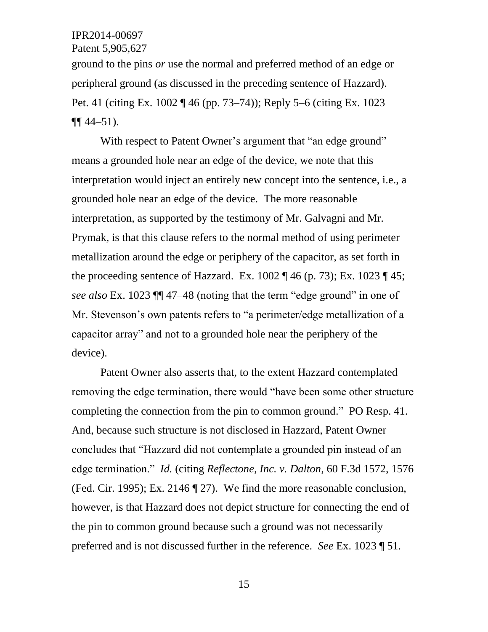Patent 5,905,627

ground to the pins *or* use the normal and preferred method of an edge or peripheral ground (as discussed in the preceding sentence of Hazzard). Pet. 41 (citing Ex. 1002 ¶ 46 (pp. 73–74)); Reply 5–6 (citing Ex. 1023  $\P\P$  44–51).

With respect to Patent Owner's argument that "an edge ground" means a grounded hole near an edge of the device, we note that this interpretation would inject an entirely new concept into the sentence, i.e., a grounded hole near an edge of the device. The more reasonable interpretation, as supported by the testimony of Mr. Galvagni and Mr. Prymak, is that this clause refers to the normal method of using perimeter metallization around the edge or periphery of the capacitor, as set forth in the proceeding sentence of Hazzard. Ex. 1002  $\P$  46 (p. 73); Ex. 1023  $\P$  45; *see also* Ex. 1023 ¶¶ 47–48 (noting that the term "edge ground" in one of Mr. Stevenson's own patents refers to "a perimeter/edge metallization of a capacitor array" and not to a grounded hole near the periphery of the device).

Patent Owner also asserts that, to the extent Hazzard contemplated removing the edge termination, there would "have been some other structure completing the connection from the pin to common ground." PO Resp. 41. And, because such structure is not disclosed in Hazzard, Patent Owner concludes that "Hazzard did not contemplate a grounded pin instead of an edge termination." *Id.* (citing *Reflectone, Inc. v. Dalton*, 60 F.3d 1572, 1576 (Fed. Cir. 1995); Ex. 2146 ¶ 27). We find the more reasonable conclusion, however, is that Hazzard does not depict structure for connecting the end of the pin to common ground because such a ground was not necessarily preferred and is not discussed further in the reference. *See* Ex. 1023 ¶ 51.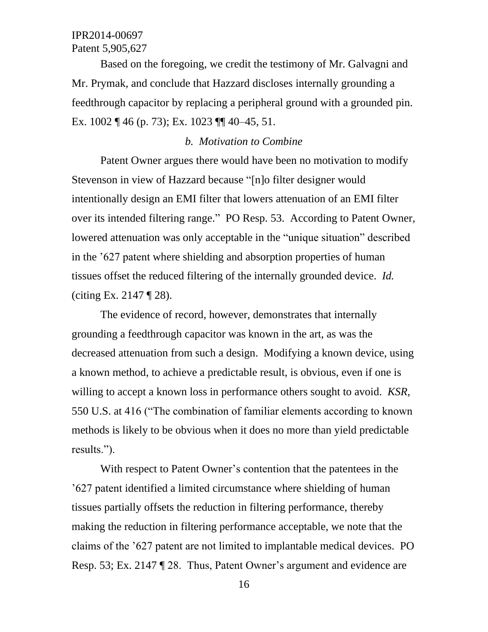Based on the foregoing, we credit the testimony of Mr. Galvagni and Mr. Prymak, and conclude that Hazzard discloses internally grounding a feedthrough capacitor by replacing a peripheral ground with a grounded pin. Ex. 1002 ¶ 46 (p. 73); Ex. 1023 ¶¶ 40–45, 51.

#### *b. Motivation to Combine*

Patent Owner argues there would have been no motivation to modify Stevenson in view of Hazzard because "[n]o filter designer would intentionally design an EMI filter that lowers attenuation of an EMI filter over its intended filtering range." PO Resp. 53. According to Patent Owner, lowered attenuation was only acceptable in the "unique situation" described in the '627 patent where shielding and absorption properties of human tissues offset the reduced filtering of the internally grounded device. *Id.*  (citing Ex. 2147 ¶ 28).

The evidence of record, however, demonstrates that internally grounding a feedthrough capacitor was known in the art, as was the decreased attenuation from such a design. Modifying a known device, using a known method, to achieve a predictable result, is obvious, even if one is willing to accept a known loss in performance others sought to avoid. *KSR*, 550 U.S. at 416 ("The combination of familiar elements according to known methods is likely to be obvious when it does no more than yield predictable results.").

With respect to Patent Owner's contention that the patentees in the '627 patent identified a limited circumstance where shielding of human tissues partially offsets the reduction in filtering performance, thereby making the reduction in filtering performance acceptable, we note that the claims of the '627 patent are not limited to implantable medical devices. PO Resp. 53; Ex. 2147 ¶ 28. Thus, Patent Owner's argument and evidence are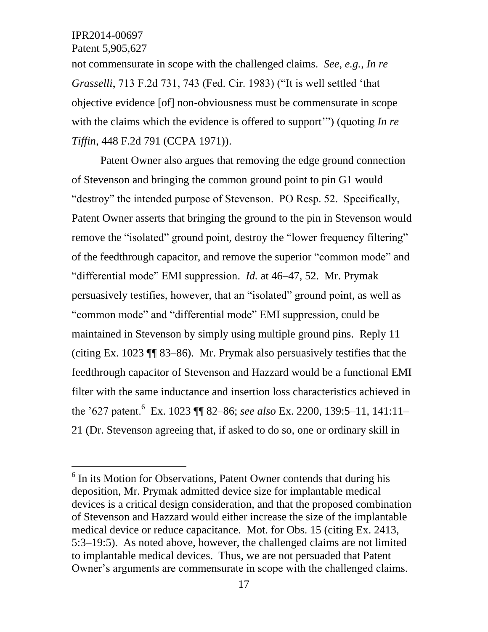Patent 5,905,627

 $\overline{a}$ 

not commensurate in scope with the challenged claims. *See, e.g., In re Grasselli*, 713 F.2d 731, 743 (Fed. Cir. 1983) ("It is well settled 'that objective evidence [of] non-obviousness must be commensurate in scope with the claims which the evidence is offered to support'") (quoting *In re Tiffin*, 448 F.2d 791 (CCPA 1971)).

Patent Owner also argues that removing the edge ground connection of Stevenson and bringing the common ground point to pin G1 would "destroy" the intended purpose of Stevenson. PO Resp. 52. Specifically, Patent Owner asserts that bringing the ground to the pin in Stevenson would remove the "isolated" ground point, destroy the "lower frequency filtering" of the feedthrough capacitor, and remove the superior "common mode" and "differential mode" EMI suppression. *Id.* at 46–47, 52. Mr. Prymak persuasively testifies, however, that an "isolated" ground point, as well as "common mode" and "differential mode" EMI suppression, could be maintained in Stevenson by simply using multiple ground pins. Reply 11 (citing Ex. 1023 ¶¶ 83–86). Mr. Prymak also persuasively testifies that the feedthrough capacitor of Stevenson and Hazzard would be a functional EMI filter with the same inductance and insertion loss characteristics achieved in the '627 patent.<sup>6</sup> Ex. 1023 ¶¶ 82–86; *see also* Ex. 2200, 139:5–11, 141:11– 21 (Dr. Stevenson agreeing that, if asked to do so, one or ordinary skill in

<sup>&</sup>lt;sup>6</sup> In its Motion for Observations, Patent Owner contends that during his deposition, Mr. Prymak admitted device size for implantable medical devices is a critical design consideration, and that the proposed combination of Stevenson and Hazzard would either increase the size of the implantable medical device or reduce capacitance. Mot. for Obs. 15 (citing Ex. 2413, 5:3–19:5). As noted above, however, the challenged claims are not limited to implantable medical devices. Thus, we are not persuaded that Patent Owner's arguments are commensurate in scope with the challenged claims.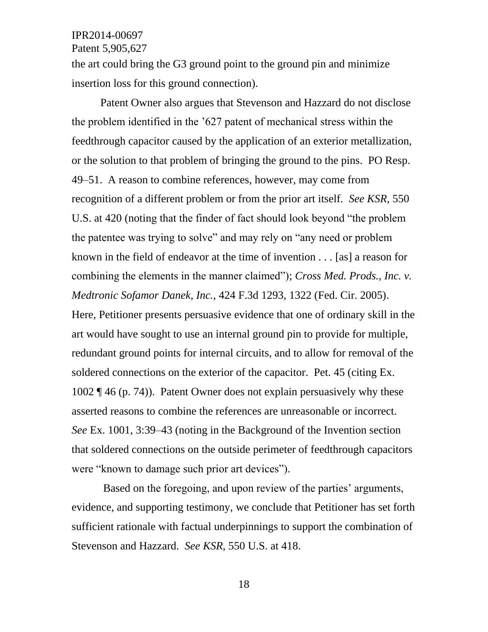Patent 5,905,627

the art could bring the G3 ground point to the ground pin and minimize insertion loss for this ground connection).

Patent Owner also argues that Stevenson and Hazzard do not disclose the problem identified in the '627 patent of mechanical stress within the feedthrough capacitor caused by the application of an exterior metallization, or the solution to that problem of bringing the ground to the pins. PO Resp. 49–51. A reason to combine references, however, may come from recognition of a different problem or from the prior art itself. *See KSR*, 550 U.S. at 420 (noting that the finder of fact should look beyond "the problem the patentee was trying to solve" and may rely on "any need or problem known in the field of endeavor at the time of invention . . . [as] a reason for combining the elements in the manner claimed"); *Cross Med. Prods., Inc. v. Medtronic Sofamor Danek, Inc.*, 424 F.3d 1293, 1322 (Fed. Cir. 2005). Here, Petitioner presents persuasive evidence that one of ordinary skill in the art would have sought to use an internal ground pin to provide for multiple, redundant ground points for internal circuits, and to allow for removal of the soldered connections on the exterior of the capacitor. Pet. 45 (citing Ex. 1002 ¶ 46 (p. 74)). Patent Owner does not explain persuasively why these asserted reasons to combine the references are unreasonable or incorrect. *See* Ex. 1001, 3:39–43 (noting in the Background of the Invention section that soldered connections on the outside perimeter of feedthrough capacitors were "known to damage such prior art devices").

Based on the foregoing, and upon review of the parties' arguments, evidence, and supporting testimony, we conclude that Petitioner has set forth sufficient rationale with factual underpinnings to support the combination of Stevenson and Hazzard. *See KSR*, 550 U.S. at 418.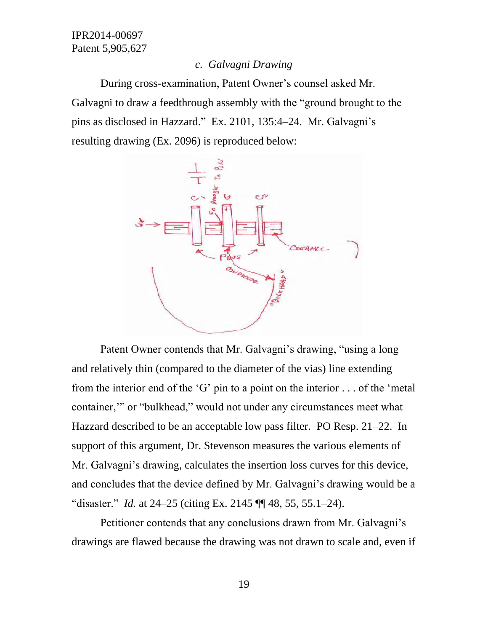### *c. Galvagni Drawing*

During cross-examination, Patent Owner's counsel asked Mr. Galvagni to draw a feedthrough assembly with the "ground brought to the pins as disclosed in Hazzard." Ex. 2101, 135:4–24. Mr. Galvagni's resulting drawing (Ex. 2096) is reproduced below:



Patent Owner contends that Mr. Galvagni's drawing, "using a long and relatively thin (compared to the diameter of the vias) line extending from the interior end of the 'G' pin to a point on the interior . . . of the 'metal container,'" or "bulkhead," would not under any circumstances meet what Hazzard described to be an acceptable low pass filter. PO Resp. 21–22. In support of this argument, Dr. Stevenson measures the various elements of Mr. Galvagni's drawing, calculates the insertion loss curves for this device, and concludes that the device defined by Mr. Galvagni's drawing would be a "disaster." *Id.* at 24–25 (citing Ex. 2145 ¶¶ 48, 55, 55.1–24).

Petitioner contends that any conclusions drawn from Mr. Galvagni's drawings are flawed because the drawing was not drawn to scale and, even if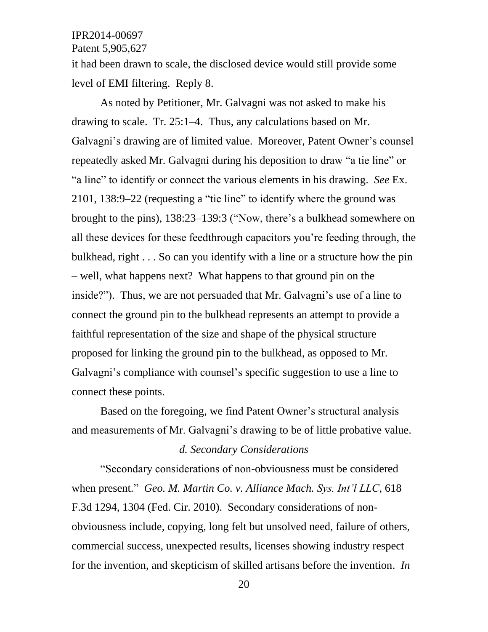Patent 5,905,627

it had been drawn to scale, the disclosed device would still provide some level of EMI filtering. Reply 8.

As noted by Petitioner, Mr. Galvagni was not asked to make his drawing to scale. Tr. 25:1–4. Thus, any calculations based on Mr. Galvagni's drawing are of limited value. Moreover, Patent Owner's counsel repeatedly asked Mr. Galvagni during his deposition to draw "a tie line" or "a line" to identify or connect the various elements in his drawing. *See* Ex. 2101, 138:9–22 (requesting a "tie line" to identify where the ground was brought to the pins), 138:23–139:3 ("Now, there's a bulkhead somewhere on all these devices for these feedthrough capacitors you're feeding through, the bulkhead, right . . . So can you identify with a line or a structure how the pin – well, what happens next? What happens to that ground pin on the inside?"). Thus, we are not persuaded that Mr. Galvagni's use of a line to connect the ground pin to the bulkhead represents an attempt to provide a faithful representation of the size and shape of the physical structure proposed for linking the ground pin to the bulkhead, as opposed to Mr. Galvagni's compliance with counsel's specific suggestion to use a line to connect these points.

Based on the foregoing, we find Patent Owner's structural analysis and measurements of Mr. Galvagni's drawing to be of little probative value. *d. Secondary Considerations*

"Secondary considerations of non-obviousness must be considered when present." *Geo. M. Martin Co. v. Alliance Mach. Sys. Int'l LLC*, 618 F.3d 1294, 1304 (Fed. Cir. 2010). Secondary considerations of nonobviousness include, copying, long felt but unsolved need, failure of others, commercial success, unexpected results, licenses showing industry respect for the invention, and skepticism of skilled artisans before the invention. *In*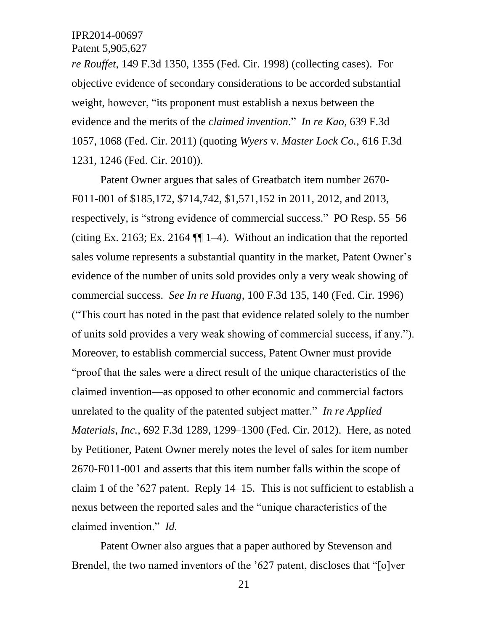Patent 5,905,627

*re Rouffet*, 149 F.3d 1350, 1355 (Fed. Cir. 1998) (collecting cases).For objective evidence of secondary considerations to be accorded substantial weight, however, "its proponent must establish a nexus between the evidence and the merits of the *claimed invention*." *In re Kao*, 639 F.3d 1057, 1068 (Fed. Cir. 2011) (quoting *Wyers* v. *Master Lock Co.*, 616 F.3d 1231, 1246 (Fed. Cir. 2010)).

Patent Owner argues that sales of Greatbatch item number 2670- F011-001 of \$185,172, \$714,742, \$1,571,152 in 2011, 2012, and 2013, respectively, is "strong evidence of commercial success." PO Resp. 55–56 (citing Ex. 2163; Ex. 2164 ¶¶ 1–4).Without an indication that the reported sales volume represents a substantial quantity in the market, Patent Owner's evidence of the number of units sold provides only a very weak showing of commercial success. *See In re Huang*, 100 F.3d 135, 140 (Fed. Cir. 1996) ("This court has noted in the past that evidence related solely to the number of units sold provides a very weak showing of commercial success, if any."). Moreover, to establish commercial success, Patent Owner must provide "proof that the sales were a direct result of the unique characteristics of the claimed invention—as opposed to other economic and commercial factors unrelated to the quality of the patented subject matter." *In re Applied Materials, Inc.*, 692 F.3d 1289, 1299–1300 (Fed. Cir. 2012). Here, as noted by Petitioner, Patent Owner merely notes the level of sales for item number 2670-F011-001 and asserts that this item number falls within the scope of claim 1 of the '627 patent. Reply 14–15. This is not sufficient to establish a nexus between the reported sales and the "unique characteristics of the claimed invention." *Id.*

Patent Owner also argues that a paper authored by Stevenson and Brendel, the two named inventors of the '627 patent, discloses that "[o]ver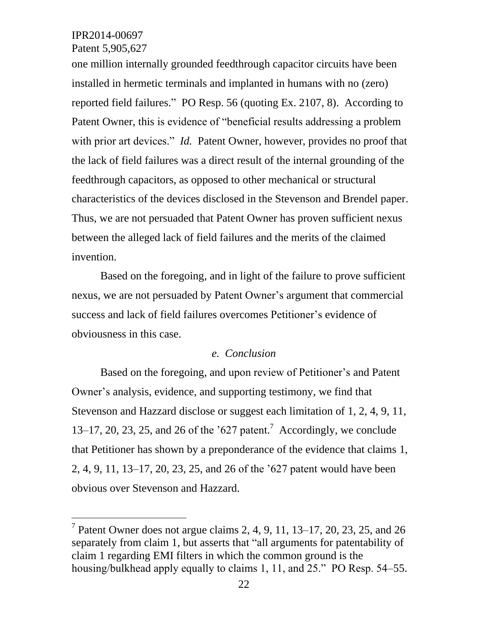l

Patent 5,905,627

one million internally grounded feedthrough capacitor circuits have been installed in hermetic terminals and implanted in humans with no (zero) reported field failures." PO Resp. 56 (quoting Ex. 2107, 8). According to Patent Owner, this is evidence of "beneficial results addressing a problem with prior art devices." *Id.* Patent Owner, however, provides no proof that the lack of field failures was a direct result of the internal grounding of the feedthrough capacitors, as opposed to other mechanical or structural characteristics of the devices disclosed in the Stevenson and Brendel paper. Thus, we are not persuaded that Patent Owner has proven sufficient nexus between the alleged lack of field failures and the merits of the claimed invention.

Based on the foregoing, and in light of the failure to prove sufficient nexus, we are not persuaded by Patent Owner's argument that commercial success and lack of field failures overcomes Petitioner's evidence of obviousness in this case.

## *e. Conclusion*

Based on the foregoing, and upon review of Petitioner's and Patent Owner's analysis, evidence, and supporting testimony, we find that Stevenson and Hazzard disclose or suggest each limitation of 1, 2, 4, 9, 11, 13–17, 20, 23, 25, and 26 of the '627 patent. 7 Accordingly, we conclude that Petitioner has shown by a preponderance of the evidence that claims 1, 2, 4, 9, 11, 13–17, 20, 23, 25, and 26 of the '627 patent would have been obvious over Stevenson and Hazzard.

<sup>&</sup>lt;sup>7</sup> Patent Owner does not argue claims 2, 4, 9, 11, 13–17, 20, 23, 25, and 26 separately from claim 1, but asserts that "all arguments for patentability of claim 1 regarding EMI filters in which the common ground is the housing/bulkhead apply equally to claims 1, 11, and 25." PO Resp. 54–55.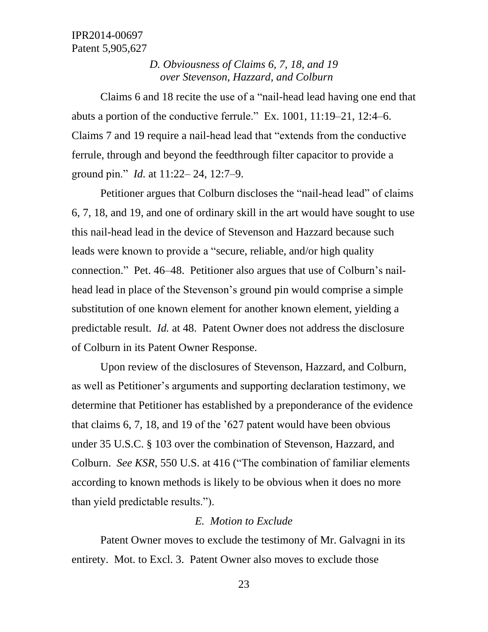## *D. Obviousness of Claims 6, 7, 18, and 19 over Stevenson, Hazzard, and Colburn*

Claims 6 and 18 recite the use of a "nail-head lead having one end that abuts a portion of the conductive ferrule." Ex. 1001, 11:19–21, 12:4–6. Claims 7 and 19 require a nail-head lead that "extends from the conductive ferrule, through and beyond the feedthrough filter capacitor to provide a ground pin." *Id.* at 11:22– 24, 12:7–9.

Petitioner argues that Colburn discloses the "nail-head lead" of claims 6, 7, 18, and 19, and one of ordinary skill in the art would have sought to use this nail-head lead in the device of Stevenson and Hazzard because such leads were known to provide a "secure, reliable, and/or high quality connection." Pet. 46–48. Petitioner also argues that use of Colburn's nailhead lead in place of the Stevenson's ground pin would comprise a simple substitution of one known element for another known element, yielding a predictable result. *Id.* at 48.Patent Owner does not address the disclosure of Colburn in its Patent Owner Response.

Upon review of the disclosures of Stevenson, Hazzard, and Colburn, as well as Petitioner's arguments and supporting declaration testimony, we determine that Petitioner has established by a preponderance of the evidence that claims 6, 7, 18, and 19 of the '627 patent would have been obvious under 35 U.S.C. § 103 over the combination of Stevenson, Hazzard, and Colburn. *See KSR*, 550 U.S. at 416 ("The combination of familiar elements according to known methods is likely to be obvious when it does no more than yield predictable results.").

#### *E. Motion to Exclude*

Patent Owner moves to exclude the testimony of Mr. Galvagni in its entirety. Mot. to Excl. 3. Patent Owner also moves to exclude those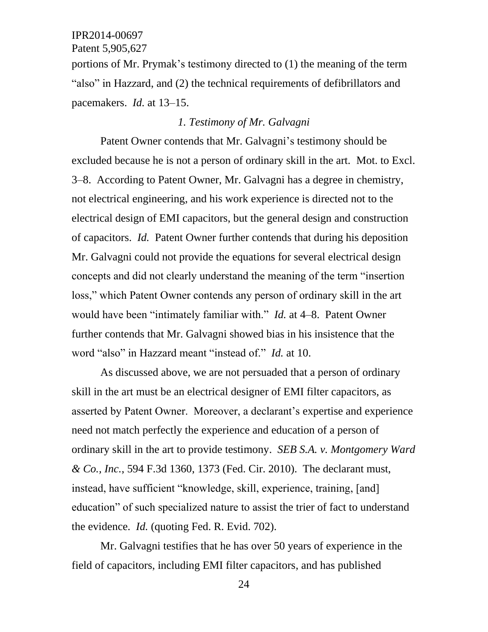Patent 5,905,627

portions of Mr. Prymak's testimony directed to (1) the meaning of the term "also" in Hazzard, and (2) the technical requirements of defibrillators and pacemakers. *Id.* at 13–15.

## *1. Testimony of Mr. Galvagni*

Patent Owner contends that Mr. Galvagni's testimony should be excluded because he is not a person of ordinary skill in the art. Mot. to Excl. 3–8. According to Patent Owner, Mr. Galvagni has a degree in chemistry, not electrical engineering, and his work experience is directed not to the electrical design of EMI capacitors, but the general design and construction of capacitors. *Id.* Patent Owner further contends that during his deposition Mr. Galvagni could not provide the equations for several electrical design concepts and did not clearly understand the meaning of the term "insertion loss," which Patent Owner contends any person of ordinary skill in the art would have been "intimately familiar with." *Id.* at 4–8. Patent Owner further contends that Mr. Galvagni showed bias in his insistence that the word "also" in Hazzard meant "instead of." *Id.* at 10.

As discussed above, we are not persuaded that a person of ordinary skill in the art must be an electrical designer of EMI filter capacitors, as asserted by Patent Owner. Moreover, a declarant's expertise and experience need not match perfectly the experience and education of a person of ordinary skill in the art to provide testimony. *SEB S.A. v. Montgomery Ward & Co., Inc.*, 594 F.3d 1360, 1373 (Fed. Cir. 2010). The declarant must, instead, have sufficient "knowledge, skill, experience, training, [and] education" of such specialized nature to assist the trier of fact to understand the evidence. *Id.* (quoting Fed. R. Evid. 702).

Mr. Galvagni testifies that he has over 50 years of experience in the field of capacitors, including EMI filter capacitors, and has published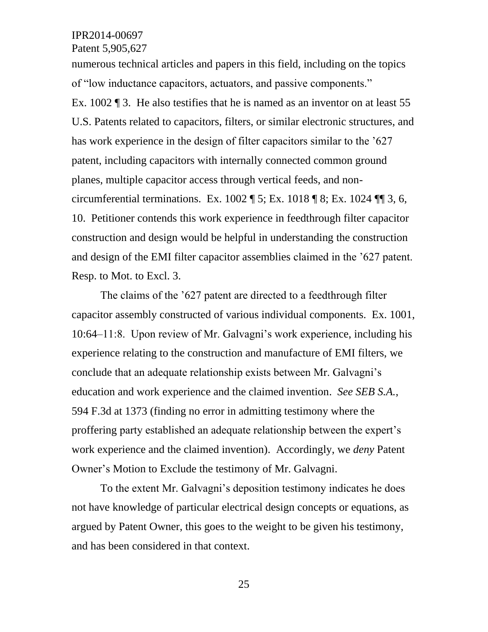Patent 5,905,627

numerous technical articles and papers in this field, including on the topics of "low inductance capacitors, actuators, and passive components." Ex. 1002 ¶ 3. He also testifies that he is named as an inventor on at least 55 U.S. Patents related to capacitors, filters, or similar electronic structures, and has work experience in the design of filter capacitors similar to the '627 patent, including capacitors with internally connected common ground planes, multiple capacitor access through vertical feeds, and noncircumferential terminations. Ex.  $1002 \text{ T}$  5; Ex.  $1018 \text{ T}$  8; Ex.  $1024 \text{ T}$  3, 6, 10. Petitioner contends this work experience in feedthrough filter capacitor construction and design would be helpful in understanding the construction and design of the EMI filter capacitor assemblies claimed in the '627 patent. Resp. to Mot. to Excl. 3.

The claims of the '627 patent are directed to a feedthrough filter capacitor assembly constructed of various individual components. Ex. 1001, 10:64–11:8. Upon review of Mr. Galvagni's work experience, including his experience relating to the construction and manufacture of EMI filters, we conclude that an adequate relationship exists between Mr. Galvagni's education and work experience and the claimed invention. *See SEB S.A.*, 594 F.3d at 1373 (finding no error in admitting testimony where the proffering party established an adequate relationship between the expert's work experience and the claimed invention). Accordingly, we *deny* Patent Owner's Motion to Exclude the testimony of Mr. Galvagni.

To the extent Mr. Galvagni's deposition testimony indicates he does not have knowledge of particular electrical design concepts or equations, as argued by Patent Owner, this goes to the weight to be given his testimony, and has been considered in that context.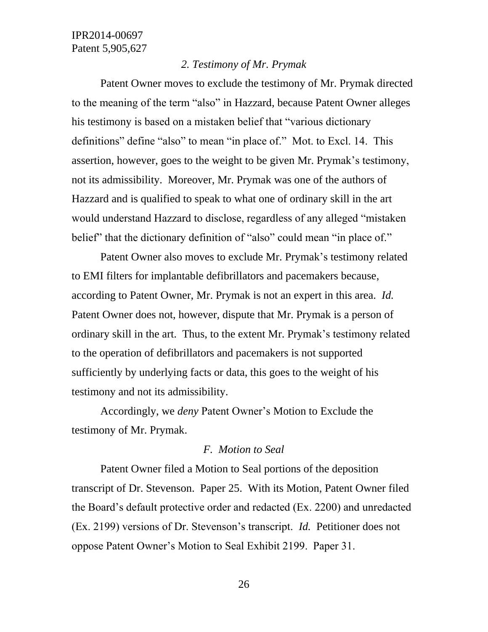#### *2. Testimony of Mr. Prymak*

Patent Owner moves to exclude the testimony of Mr. Prymak directed to the meaning of the term "also" in Hazzard, because Patent Owner alleges his testimony is based on a mistaken belief that "various dictionary definitions" define "also" to mean "in place of." Mot. to Excl. 14. This assertion, however, goes to the weight to be given Mr. Prymak's testimony, not its admissibility. Moreover, Mr. Prymak was one of the authors of Hazzard and is qualified to speak to what one of ordinary skill in the art would understand Hazzard to disclose, regardless of any alleged "mistaken belief" that the dictionary definition of "also" could mean "in place of."

Patent Owner also moves to exclude Mr. Prymak's testimony related to EMI filters for implantable defibrillators and pacemakers because, according to Patent Owner, Mr. Prymak is not an expert in this area. *Id.*  Patent Owner does not, however, dispute that Mr. Prymak is a person of ordinary skill in the art. Thus, to the extent Mr. Prymak's testimony related to the operation of defibrillators and pacemakers is not supported sufficiently by underlying facts or data, this goes to the weight of his testimony and not its admissibility.

Accordingly, we *deny* Patent Owner's Motion to Exclude the testimony of Mr. Prymak.

#### *F. Motion to Seal*

Patent Owner filed a Motion to Seal portions of the deposition transcript of Dr. Stevenson. Paper 25. With its Motion, Patent Owner filed the Board's default protective order and redacted (Ex. 2200) and unredacted (Ex. 2199) versions of Dr. Stevenson's transcript. *Id.* Petitioner does not oppose Patent Owner's Motion to Seal Exhibit 2199. Paper 31.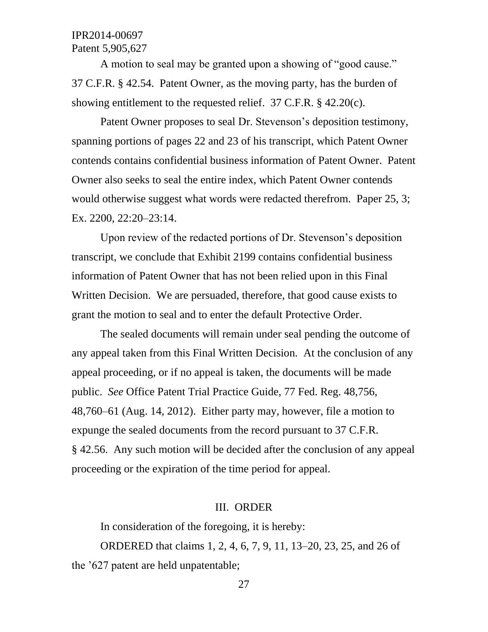A motion to seal may be granted upon a showing of "good cause." 37 C.F.R. § 42.54. Patent Owner, as the moving party, has the burden of showing entitlement to the requested relief. 37 C.F.R. § 42.20(c).

Patent Owner proposes to seal Dr. Stevenson's deposition testimony, spanning portions of pages 22 and 23 of his transcript, which Patent Owner contends contains confidential business information of Patent Owner. Patent Owner also seeks to seal the entire index, which Patent Owner contends would otherwise suggest what words were redacted therefrom. Paper 25, 3; Ex. 2200, 22:20–23:14.

Upon review of the redacted portions of Dr. Stevenson's deposition transcript, we conclude that Exhibit 2199 contains confidential business information of Patent Owner that has not been relied upon in this Final Written Decision. We are persuaded, therefore, that good cause exists to grant the motion to seal and to enter the default Protective Order.

The sealed documents will remain under seal pending the outcome of any appeal taken from this Final Written Decision. At the conclusion of any appeal proceeding, or if no appeal is taken, the documents will be made public. *See* Office Patent Trial Practice Guide, 77 Fed. Reg. 48,756, 48,760–61 (Aug. 14, 2012). Either party may, however, file a motion to expunge the sealed documents from the record pursuant to 37 C.F.R. § 42.56. Any such motion will be decided after the conclusion of any appeal proceeding or the expiration of the time period for appeal.

#### III. ORDER

In consideration of the foregoing, it is hereby:

ORDERED that claims 1, 2, 4, 6, 7, 9, 11, 13–20, 23, 25, and 26 of the '627 patent are held unpatentable;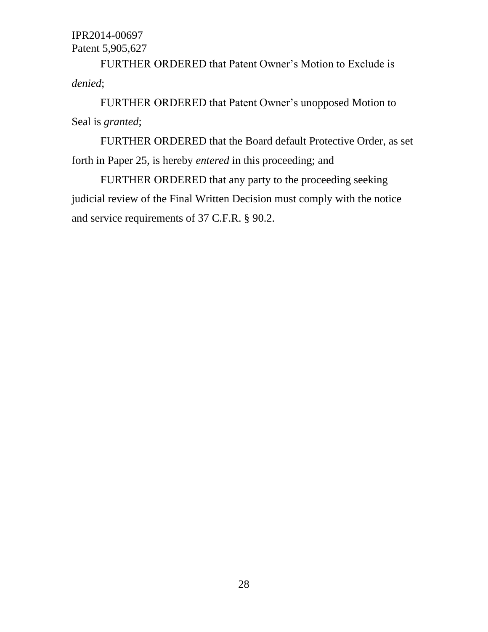FURTHER ORDERED that Patent Owner's Motion to Exclude is *denied*;

FURTHER ORDERED that Patent Owner's unopposed Motion to Seal is *granted*;

FURTHER ORDERED that the Board default Protective Order, as set forth in Paper 25, is hereby *entered* in this proceeding; and

FURTHER ORDERED that any party to the proceeding seeking judicial review of the Final Written Decision must comply with the notice and service requirements of 37 C.F.R. § 90.2.